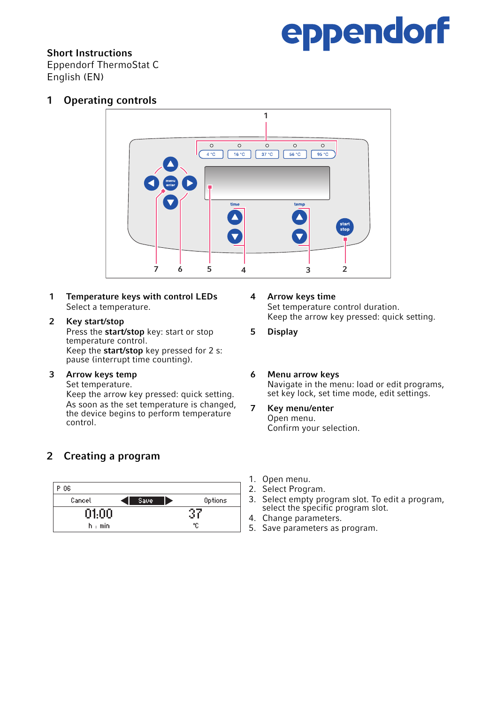# eppendorf

### Short Instructions

Eppendorf ThermoStat C English (EN)

1 Operating controls



- 1 Temperature keys with control LEDs Select a temperature.
- 2 Key start/stop<br>Press the start/stop kev: start or stop<br>**2 Key start/stop kev:** start or stop<br>**2 Display**<br>**2 Display** Press the start/stop key: start or stop temperature control. Keep the start/stop key pressed for 2 s: pause (interrupt time counting).

#### 3 Arrow keys temp

Set temperature.

Keep the arrow key pressed: quick setting. As soon as the set temperature is changed, the device begins to perform temperature control.

## 2 Creating a program



- 4 Arrow keys time Set temperature control duration.
- **Display**
- 6 Menu arrow keys Navigate in the menu: load or edit programs, set key lock, set time mode, edit settings.
- 7 Key menu/enter Open menu. Confirm your selection.
- 
- 2. Select Program.
- 3. Select empty program slot. To edit a program, select the specific program slot.
- 4. Change parameters.
- 5. Save parameters as program.